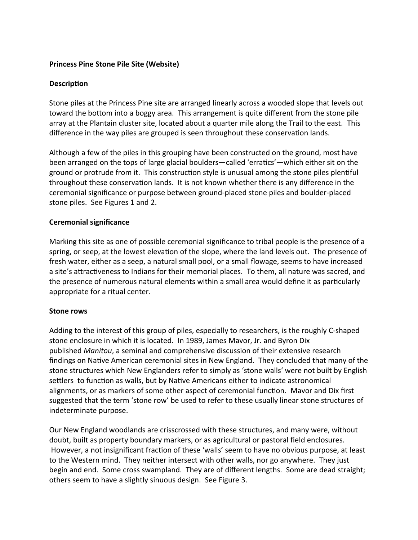# **Princess Pine Stone Pile Site (Website)**

# **Description**

Stone piles at the Princess Pine site are arranged linearly across a wooded slope that levels out toward the bottom into a boggy area. This arrangement is quite different from the stone pile array at the Plantain cluster site, located about a quarter mile along the Trail to the east. This difference in the way piles are grouped is seen throughout these conservation lands.

Although a few of the piles in this grouping have been constructed on the ground, most have been arranged on the tops of large glacial boulders—called 'erratics'—which either sit on the ground or protrude from it. This construction style is unusual among the stone piles plentiful throughout these conservation lands. It is not known whether there is any difference in the ceremonial significance or purpose between ground-placed stone piles and boulder-placed stone piles. See Figures 1 and 2.

## **Ceremonial significance**

Marking this site as one of possible ceremonial significance to tribal people is the presence of a spring, or seep, at the lowest elevation of the slope, where the land levels out. The presence of fresh water, either as a seep, a natural small pool, or a small flowage, seems to have increased a site's attractiveness to Indians for their memorial places. To them, all nature was sacred, and the presence of numerous natural elements within a small area would define it as particularly appropriate for a ritual center.

## **Stone rows**

Adding to the interest of this group of piles, especially to researchers, is the roughly C-shaped stone enclosure in which it is located. In 1989, James Mavor, Jr. and Byron Dix published *Manitou*, a seminal and comprehensive discussion of their extensive research findings on Native American ceremonial sites in New England. They concluded that many of the stone structures which New Englanders refer to simply as 'stone walls' were not built by English settlers to function as walls, but by Native Americans either to indicate astronomical alignments, or as markers of some other aspect of ceremonial function. Mavor and Dix first suggested that the term 'stone row' be used to refer to these usually linear stone structures of indeterminate purpose.

Our New England woodlands are crisscrossed with these structures, and many were, without doubt, built as property boundary markers, or as agricultural or pastoral field enclosures. However, a not insignificant fraction of these 'walls' seem to have no obvious purpose, at least to the Western mind. They neither intersect with other walls, nor go anywhere. They just begin and end. Some cross swampland. They are of different lengths. Some are dead straight; others seem to have a slightly sinuous design. See Figure 3.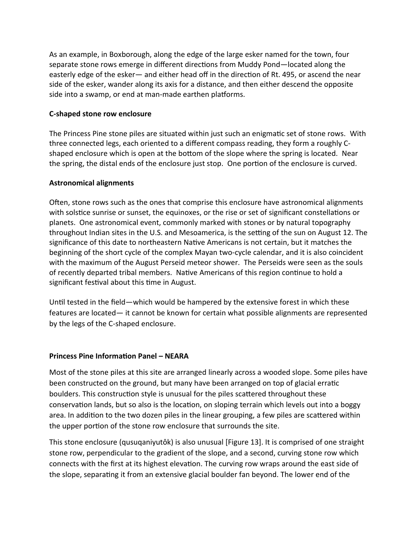As an example, in Boxborough, along the edge of the large esker named for the town, four separate stone rows emerge in different directions from Muddy Pond—located along the easterly edge of the esker— and either head off in the direction of Rt. 495, or ascend the near side of the esker, wander along its axis for a distance, and then either descend the opposite side into a swamp, or end at man-made earthen platforms.

# **C-shaped stone row enclosure**

The Princess Pine stone piles are situated within just such an enigmatic set of stone rows. With three connected legs, each oriented to a different compass reading, they form a roughly Cshaped enclosure which is open at the bottom of the slope where the spring is located. Near the spring, the distal ends of the enclosure just stop. One portion of the enclosure is curved.

# **Astronomical alignments**

Often, stone rows such as the ones that comprise this enclosure have astronomical alignments with solstice sunrise or sunset, the equinoxes, or the rise or set of significant constellations or planets. One astronomical event, commonly marked with stones or by natural topography throughout Indian sites in the U.S. and Mesoamerica, is the setting of the sun on August 12. The significance of this date to northeastern Native Americans is not certain, but it matches the beginning of the short cycle of the complex Mayan two-cycle calendar, and it is also coincident with the maximum of the August Perseid meteor shower. The Perseids were seen as the souls of recently departed tribal members. Native Americans of this region continue to hold a significant festival about this time in August.

Until tested in the field—which would be hampered by the extensive forest in which these features are located— it cannot be known for certain what possible alignments are represented by the legs of the C-shaped enclosure.

## **Princess Pine Information Panel – NEARA**

Most of the stone piles at this site are arranged linearly across a wooded slope. Some piles have been constructed on the ground, but many have been arranged on top of glacial erratic boulders. This construction style is unusual for the piles scattered throughout these conservation lands, but so also is the location, on sloping terrain which levels out into a boggy area. In addition to the two dozen piles in the linear grouping, a few piles are scattered within the upper portion of the stone row enclosure that surrounds the site.

This stone enclosure (qusuqaniyutôk) is also unusual [Figure 13]. It is comprised of one straight stone row, perpendicular to the gradient of the slope, and a second, curving stone row which connects with the first at its highest elevation. The curving row wraps around the east side of the slope, separating it from an extensive glacial boulder fan beyond. The lower end of the